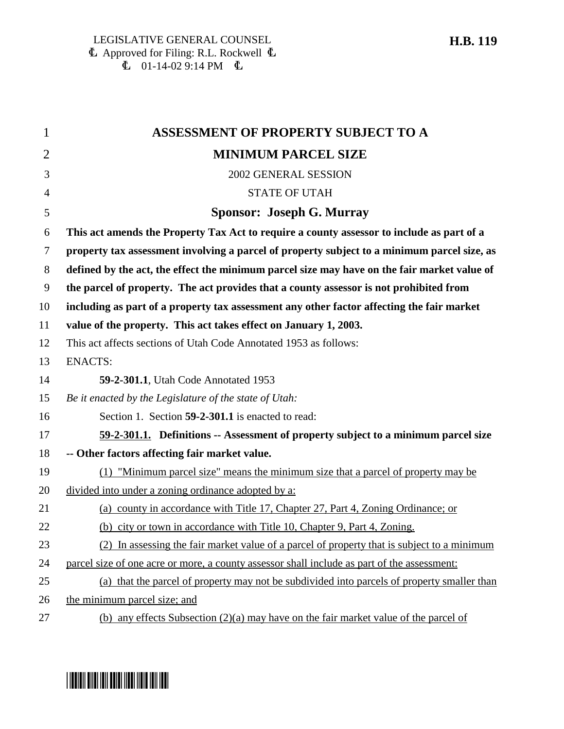1 **ASSESSMENT OF PROPERTY SUBJECT TO A** 2 **MINIMUM PARCEL SIZE** 3 2002 GENERAL SESSION 4 STATE OF UTAH 5 **Sponsor: Joseph G. Murray** 6 **This act amends the Property Tax Act to require a county assessor to include as part of a** 7 **property tax assessment involving a parcel of property subject to a minimum parcel size, as** 8 **defined by the act, the effect the minimum parcel size may have on the fair market value of** 9 **the parcel of property. The act provides that a county assessor is not prohibited from** 10 **including as part of a property tax assessment any other factor affecting the fair market** 11 **value of the property. This act takes effect on January 1, 2003.** 12 This act affects sections of Utah Code Annotated 1953 as follows: 13 ENACTS: 14 **59-2-301.1**, Utah Code Annotated 1953 15 *Be it enacted by the Legislature of the state of Utah:* 16 Section 1. Section **59-2-301.1** is enacted to read: 17 **59-2-301.1. Definitions -- Assessment of property subject to a minimum parcel size** 18 **-- Other factors affecting fair market value.** 19 (1) "Minimum parcel size" means the minimum size that a parcel of property may be 20 divided into under a zoning ordinance adopted by a: 21 (a) county in accordance with Title 17, Chapter 27, Part 4, Zoning Ordinance; or 22 (b) city or town in accordance with Title 10, Chapter 9, Part 4, Zoning. 23 (2) In assessing the fair market value of a parcel of property that is subject to a minimum 24 parcel size of one acre or more, a county assessor shall include as part of the assessment: 25 (a) that the parcel of property may not be subdivided into parcels of property smaller than 26 the minimum parcel size; and 27 (b) any effects Subsection (2)(a) may have on the fair market value of the parcel of

## <u>||B010||B1|0||B1||B1|||B1||B1||B1||B1|</u>